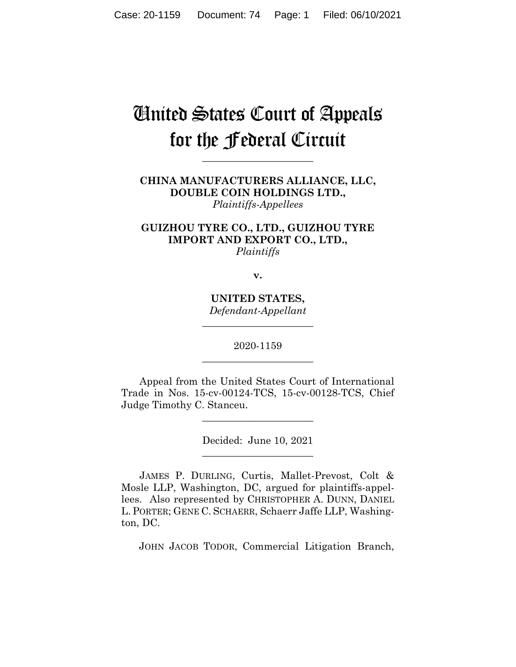# United States Court of Appeals for the Federal Circuit

**\_\_\_\_\_\_\_\_\_\_\_\_\_\_\_\_\_\_\_\_\_\_**

**CHINA MANUFACTURERS ALLIANCE, LLC, DOUBLE COIN HOLDINGS LTD.,** *Plaintiffs-Appellees*

**GUIZHOU TYRE CO., LTD., GUIZHOU TYRE IMPORT AND EXPORT CO., LTD.,** *Plaintiffs*

**v.**

**UNITED STATES,** *Defendant-Appellant*

**\_\_\_\_\_\_\_\_\_\_\_\_\_\_\_\_\_\_\_\_\_\_**

2020-1159 **\_\_\_\_\_\_\_\_\_\_\_\_\_\_\_\_\_\_\_\_\_\_**

Appeal from the United States Court of International Trade in Nos. 15-cv-00124-TCS, 15-cv-00128-TCS, Chief Judge Timothy C. Stanceu.

> Decided: June 10, 2021 \_\_\_\_\_\_\_\_\_\_\_\_\_\_\_\_\_\_\_\_\_\_

\_\_\_\_\_\_\_\_\_\_\_\_\_\_\_\_\_\_\_\_\_\_

JAMES P. DURLING, Curtis, Mallet-Prevost, Colt & Mosle LLP, Washington, DC, argued for plaintiffs-appellees. Also represented by CHRISTOPHER A. DUNN, DANIEL L. PORTER; GENE C. SCHAERR, Schaerr Jaffe LLP, Washington, DC.

JOHN JACOB TODOR, Commercial Litigation Branch,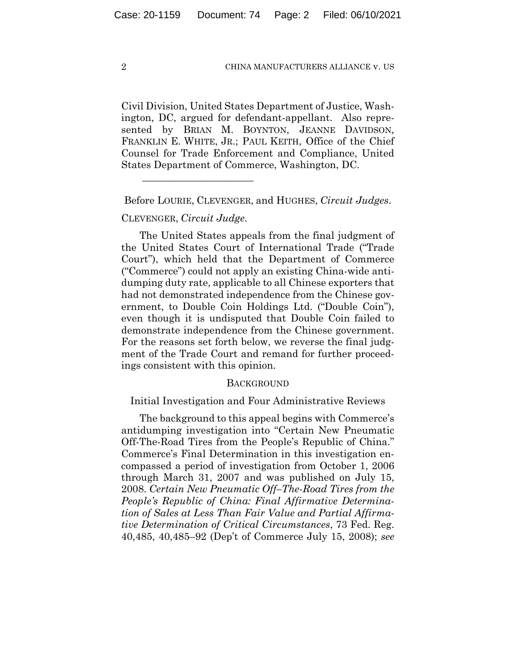Civil Division, United States Department of Justice, Washington, DC, argued for defendant-appellant. Also represented by BRIAN M. BOYNTON, JEANNE DAVIDSON, FRANKLIN E. WHITE, JR.; PAUL KEITH, Office of the Chief Counsel for Trade Enforcement and Compliance, United States Department of Commerce, Washington, DC.

Before LOURIE, CLEVENGER, and HUGHES, *Circuit Judges*.

# CLEVENGER, *Circuit Judge*.

\_\_\_\_\_\_\_\_\_\_\_\_\_\_\_\_\_\_\_\_\_\_

The United States appeals from the final judgment of the United States Court of International Trade ("Trade Court"), which held that the Department of Commerce ("Commerce") could not apply an existing China-wide antidumping duty rate, applicable to all Chinese exporters that had not demonstrated independence from the Chinese government, to Double Coin Holdings Ltd. ("Double Coin"), even though it is undisputed that Double Coin failed to demonstrate independence from the Chinese government. For the reasons set forth below, we reverse the final judgment of the Trade Court and remand for further proceedings consistent with this opinion.

### **BACKGROUND**

Initial Investigation and Four Administrative Reviews

The background to this appeal begins with Commerce's antidumping investigation into "Certain New Pneumatic Off-The-Road Tires from the People's Republic of China." Commerce's Final Determination in this investigation encompassed a period of investigation from October 1, 2006 through March 31, 2007 and was published on July 15, 2008. *Certain New Pneumatic Off–The-Road Tires from the People's Republic of China: Final Affirmative Determination of Sales at Less Than Fair Value and Partial Affirmative Determination of Critical Circumstances*, 73 Fed. Reg. 40,485, 40,485–92 (Dep't of Commerce July 15, 2008); *see*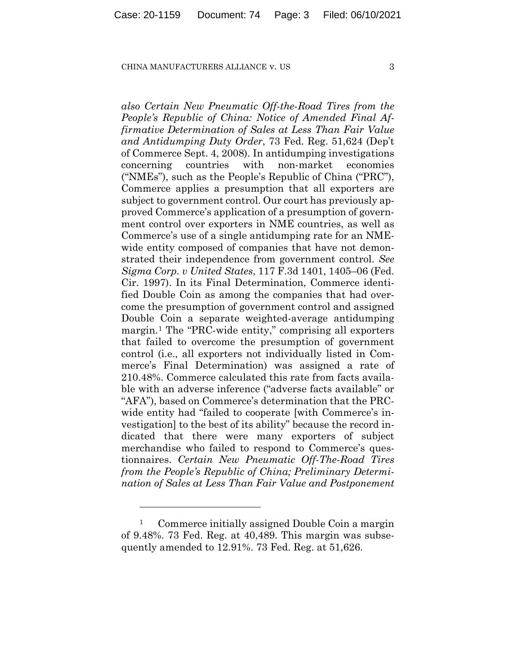*also Certain New Pneumatic Off-the-Road Tires from the People's Republic of China: Notice of Amended Final Affirmative Determination of Sales at Less Than Fair Value and Antidumping Duty Order*, 73 Fed. Reg. 51,624 (Dep't of Commerce Sept. 4, 2008). In antidumping investigations concerning countries with non-market economies ("NMEs"), such as the People's Republic of China ("PRC"), Commerce applies a presumption that all exporters are subject to government control. Our court has previously approved Commerce's application of a presumption of government control over exporters in NME countries, as well as Commerce's use of a single antidumping rate for an NMEwide entity composed of companies that have not demonstrated their independence from government control. *See Sigma Corp. v United States*, 117 F.3d 1401, 1405–06 (Fed. Cir. 1997). In its Final Determination, Commerce identified Double Coin as among the companies that had overcome the presumption of government control and assigned Double Coin a separate weighted-average antidumping margin.[1](#page-2-0) The "PRC-wide entity," comprising all exporters that failed to overcome the presumption of government control (i.e., all exporters not individually listed in Commerce's Final Determination) was assigned a rate of 210.48%. Commerce calculated this rate from facts available with an adverse inference ("adverse facts available" or "AFA"), based on Commerce's determination that the PRCwide entity had "failed to cooperate [with Commerce's investigation] to the best of its ability" because the record indicated that there were many exporters of subject merchandise who failed to respond to Commerce's questionnaires. *Certain New Pneumatic Off-The-Road Tires from the People's Republic of China; Preliminary Determination of Sales at Less Than Fair Value and Postponement* 

<span id="page-2-0"></span><sup>&</sup>lt;sup>1</sup> Commerce initially assigned Double Coin a margin of 9.48%. 73 Fed. Reg. at 40,489. This margin was subsequently amended to 12.91%. 73 Fed. Reg. at 51,626.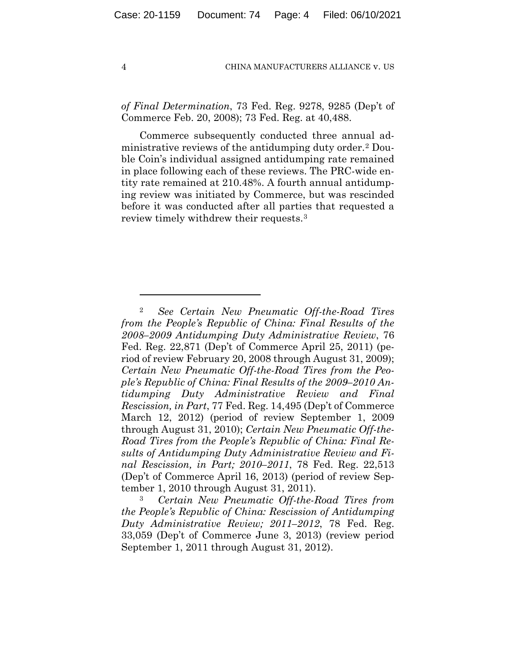*of Final Determination*, 73 Fed. Reg. 9278, 9285 (Dep't of Commerce Feb. 20, 2008); 73 Fed. Reg. at 40,488.

Commerce subsequently conducted three annual administrative reviews of the antidumping duty order.[2](#page-3-0) Double Coin's individual assigned antidumping rate remained in place following each of these reviews. The PRC-wide entity rate remained at 210.48%. A fourth annual antidumping review was initiated by Commerce, but was rescinded before it was conducted after all parties that requested a review timely withdrew their requests.[3](#page-3-1)

<span id="page-3-1"></span><sup>3</sup> *Certain New Pneumatic Off-the-Road Tires from the People's Republic of China: Rescission of Antidumping Duty Administrative Review; 2011–2012*, 78 Fed. Reg. 33,059 (Dep't of Commerce June 3, 2013) (review period September 1, 2011 through August 31, 2012).

<span id="page-3-0"></span><sup>2</sup> *See Certain New Pneumatic Off-the-Road Tires from the People's Republic of China: Final Results of the 2008–2009 Antidumping Duty Administrative Review*, 76 Fed. Reg. 22,871 (Dep't of Commerce April 25, 2011) (period of review February 20, 2008 through August 31, 2009); *Certain New Pneumatic Off-the-Road Tires from the People's Republic of China: Final Results of the 2009–2010 Antidumping Duty Administrative Review and Final Rescission, in Part*, 77 Fed. Reg. 14,495 (Dep't of Commerce March 12, 2012) (period of review September 1, 2009 through August 31, 2010); *Certain New Pneumatic Off-the-Road Tires from the People's Republic of China: Final Results of Antidumping Duty Administrative Review and Final Rescission, in Part; 2010–2011*, 78 Fed. Reg. 22,513 (Dep't of Commerce April 16, 2013) (period of review September 1, 2010 through August 31, 2011).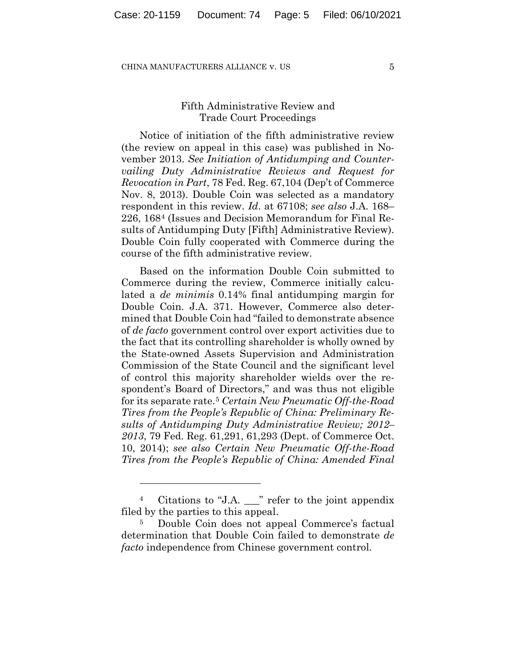# Fifth Administrative Review and Trade Court Proceedings

Notice of initiation of the fifth administrative review (the review on appeal in this case) was published in November 2013. *See Initiation of Antidumping and Countervailing Duty Administrative Reviews and Request for Revocation in Part*, 78 Fed. Reg. 67,104 (Dep't of Commerce Nov. 8, 2013). Double Coin was selected as a mandatory respondent in this review. *Id*. at 67108; *see also* J.A. 168– 226, 168[4](#page-4-0) (Issues and Decision Memorandum for Final Results of Antidumping Duty [Fifth] Administrative Review). Double Coin fully cooperated with Commerce during the course of the fifth administrative review.

Based on the information Double Coin submitted to Commerce during the review, Commerce initially calculated a *de minimis* 0.14% final antidumping margin for Double Coin. J.A. 371. However, Commerce also determined that Double Coin had "failed to demonstrate absence of *de facto* government control over export activities due to the fact that its controlling shareholder is wholly owned by the State-owned Assets Supervision and Administration Commission of the State Council and the significant level of control this majority shareholder wields over the respondent's Board of Directors," and was thus not eligible for its separate rate.[5](#page-4-1) *Certain New Pneumatic Off-the-Road Tires from the People's Republic of China: Preliminary Results of Antidumping Duty Administrative Review; 2012– 2013*, 79 Fed. Reg. 61,291, 61,293 (Dept. of Commerce Oct. 10, 2014); *see also Certain New Pneumatic Off-the-Road Tires from the People's Republic of China: Amended Final* 

<span id="page-4-0"></span><sup>4</sup> Citations to "J.A. \_\_\_" refer to the joint appendix filed by the parties to this appeal.

<span id="page-4-1"></span><sup>5</sup> Double Coin does not appeal Commerce's factual determination that Double Coin failed to demonstrate *de facto* independence from Chinese government control.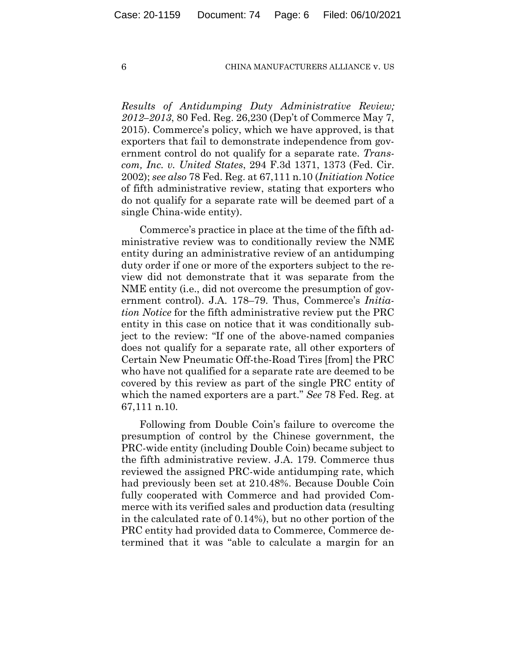*Results of Antidumping Duty Administrative Review; 2012–2013*, 80 Fed. Reg. 26,230 (Dep't of Commerce May 7, 2015). Commerce's policy, which we have approved, is that exporters that fail to demonstrate independence from government control do not qualify for a separate rate. *Transcom, Inc. v. United States*, 294 F.3d 1371, 1373 (Fed. Cir. 2002); *see also* 78 Fed. Reg. at 67,111 n.10 (*Initiation Notice* of fifth administrative review, stating that exporters who do not qualify for a separate rate will be deemed part of a single China-wide entity).

Commerce's practice in place at the time of the fifth administrative review was to conditionally review the NME entity during an administrative review of an antidumping duty order if one or more of the exporters subject to the review did not demonstrate that it was separate from the NME entity (i.e., did not overcome the presumption of government control). J.A. 178–79. Thus, Commerce's *Initiation Notice* for the fifth administrative review put the PRC entity in this case on notice that it was conditionally subject to the review: "If one of the above-named companies does not qualify for a separate rate, all other exporters of Certain New Pneumatic Off-the-Road Tires [from] the PRC who have not qualified for a separate rate are deemed to be covered by this review as part of the single PRC entity of which the named exporters are a part." *See* 78 Fed. Reg. at 67,111 n.10.

Following from Double Coin's failure to overcome the presumption of control by the Chinese government, the PRC-wide entity (including Double Coin) became subject to the fifth administrative review. J.A. 179. Commerce thus reviewed the assigned PRC-wide antidumping rate, which had previously been set at 210.48%. Because Double Coin fully cooperated with Commerce and had provided Commerce with its verified sales and production data (resulting in the calculated rate of 0.14%), but no other portion of the PRC entity had provided data to Commerce, Commerce determined that it was "able to calculate a margin for an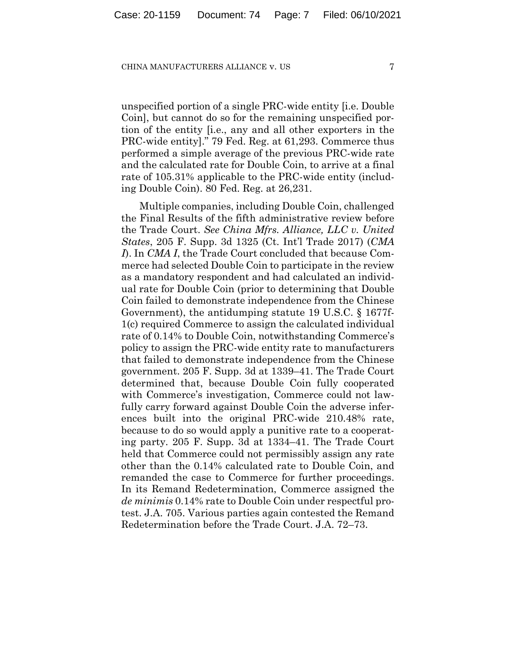unspecified portion of a single PRC-wide entity [i.e. Double Coin], but cannot do so for the remaining unspecified portion of the entity [i.e., any and all other exporters in the PRC-wide entity]." 79 Fed. Reg. at 61,293. Commerce thus performed a simple average of the previous PRC-wide rate and the calculated rate for Double Coin, to arrive at a final rate of 105.31% applicable to the PRC-wide entity (including Double Coin). 80 Fed. Reg. at 26,231.

Multiple companies, including Double Coin, challenged the Final Results of the fifth administrative review before the Trade Court. *See China Mfrs. Alliance, LLC v. United States*, 205 F. Supp. 3d 1325 (Ct. Int'l Trade 2017) (*CMA I*). In *CMA I*, the Trade Court concluded that because Commerce had selected Double Coin to participate in the review as a mandatory respondent and had calculated an individual rate for Double Coin (prior to determining that Double Coin failed to demonstrate independence from the Chinese Government), the antidumping statute 19 U.S.C. § 1677f-1(c) required Commerce to assign the calculated individual rate of 0.14% to Double Coin, notwithstanding Commerce's policy to assign the PRC-wide entity rate to manufacturers that failed to demonstrate independence from the Chinese government. 205 F. Supp. 3d at 1339–41. The Trade Court determined that, because Double Coin fully cooperated with Commerce's investigation, Commerce could not lawfully carry forward against Double Coin the adverse inferences built into the original PRC-wide 210.48% rate, because to do so would apply a punitive rate to a cooperating party. 205 F. Supp. 3d at 1334–41. The Trade Court held that Commerce could not permissibly assign any rate other than the 0.14% calculated rate to Double Coin, and remanded the case to Commerce for further proceedings. In its Remand Redetermination, Commerce assigned the *de minimis* 0.14% rate to Double Coin under respectful protest. J.A. 705. Various parties again contested the Remand Redetermination before the Trade Court. J.A. 72–73.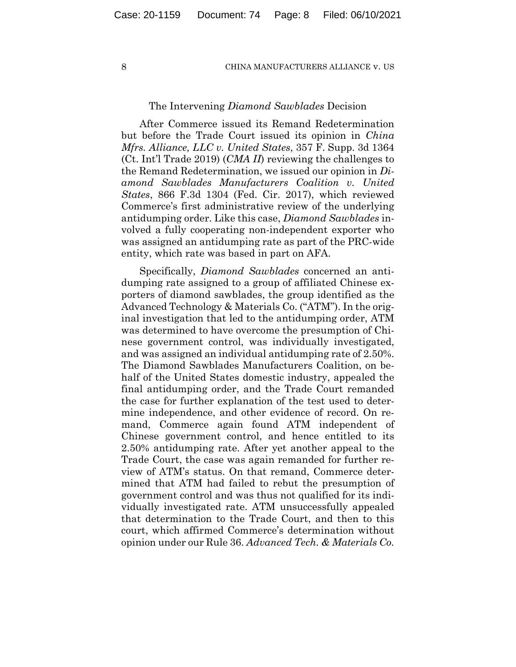## The Intervening *Diamond Sawblades* Decision

After Commerce issued its Remand Redetermination but before the Trade Court issued its opinion in *China Mfrs. Alliance, LLC v. United States*, 357 F. Supp. 3d 1364 (Ct. Int'l Trade 2019) (*CMA II*) reviewing the challenges to the Remand Redetermination, we issued our opinion in *Diamond Sawblades Manufacturers Coalition v. United States*, 866 F.3d 1304 (Fed. Cir. 2017), which reviewed Commerce's first administrative review of the underlying antidumping order. Like this case, *Diamond Sawblades* involved a fully cooperating non-independent exporter who was assigned an antidumping rate as part of the PRC-wide entity, which rate was based in part on AFA.

Specifically, *Diamond Sawblades* concerned an antidumping rate assigned to a group of affiliated Chinese exporters of diamond sawblades, the group identified as the Advanced Technology & Materials Co. ("ATM"). In the original investigation that led to the antidumping order, ATM was determined to have overcome the presumption of Chinese government control, was individually investigated, and was assigned an individual antidumping rate of 2.50%. The Diamond Sawblades Manufacturers Coalition, on behalf of the United States domestic industry, appealed the final antidumping order, and the Trade Court remanded the case for further explanation of the test used to determine independence, and other evidence of record. On remand, Commerce again found ATM independent of Chinese government control, and hence entitled to its 2.50% antidumping rate. After yet another appeal to the Trade Court, the case was again remanded for further review of ATM's status. On that remand, Commerce determined that ATM had failed to rebut the presumption of government control and was thus not qualified for its individually investigated rate. ATM unsuccessfully appealed that determination to the Trade Court, and then to this court, which affirmed Commerce's determination without opinion under our Rule 36. *Advanced Tech. & Materials Co.*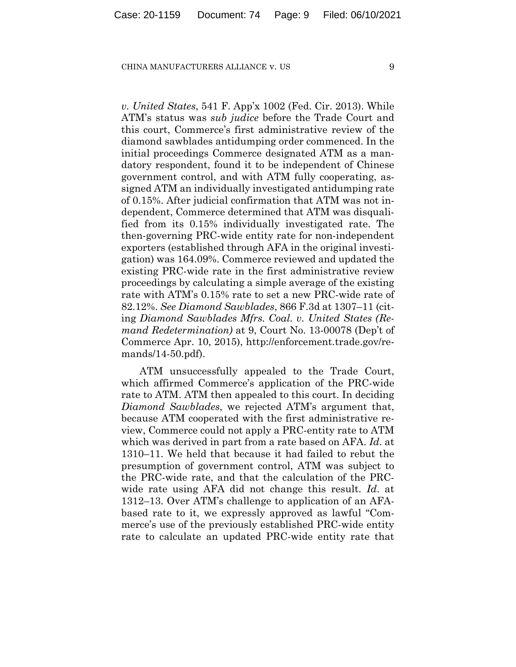*v. United States*, 541 F. App'x 1002 (Fed. Cir. 2013). While ATM's status was *sub judice* before the Trade Court and this court, Commerce's first administrative review of the diamond sawblades antidumping order commenced. In the initial proceedings Commerce designated ATM as a mandatory respondent, found it to be independent of Chinese government control, and with ATM fully cooperating, assigned ATM an individually investigated antidumping rate of 0.15%. After judicial confirmation that ATM was not independent, Commerce determined that ATM was disqualified from its 0.15% individually investigated rate. The then-governing PRC-wide entity rate for non-independent exporters (established through AFA in the original investigation) was 164.09%. Commerce reviewed and updated the existing PRC-wide rate in the first administrative review proceedings by calculating a simple average of the existing rate with ATM's 0.15% rate to set a new PRC-wide rate of 82.12%. *See Diamond Sawblades*, 866 F.3d at 1307–11 (citing *Diamond Sawblades Mfrs. Coal. v. United States (Remand Redetermination)* at 9, Court No. 13-00078 (Dep't of Commerce Apr. 10, 2015), http://enforcement.trade.gov/remands/14-50.pdf).

ATM unsuccessfully appealed to the Trade Court, which affirmed Commerce's application of the PRC-wide rate to ATM. ATM then appealed to this court. In deciding *Diamond Sawblades*, we rejected ATM's argument that, because ATM cooperated with the first administrative review, Commerce could not apply a PRC-entity rate to ATM which was derived in part from a rate based on AFA. *Id*. at 1310–11. We held that because it had failed to rebut the presumption of government control, ATM was subject to the PRC-wide rate, and that the calculation of the PRCwide rate using AFA did not change this result. *Id*. at 1312–13. Over ATM's challenge to application of an AFAbased rate to it, we expressly approved as lawful "Commerce's use of the previously established PRC-wide entity rate to calculate an updated PRC-wide entity rate that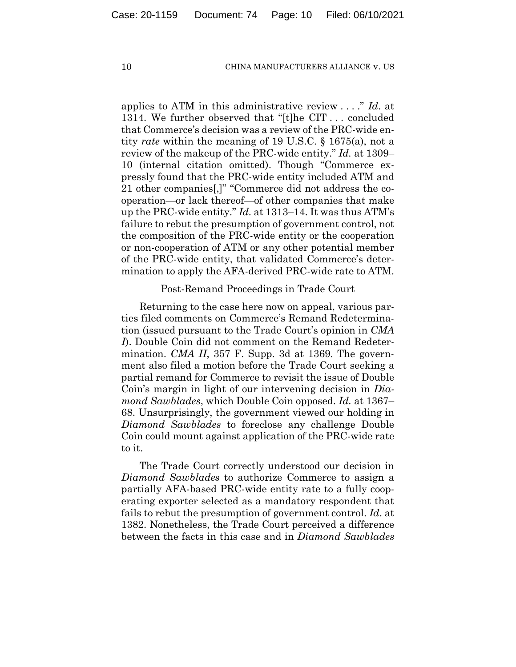applies to ATM in this administrative review . . . ." *Id*. at 1314. We further observed that "[t]he CIT . . . concluded that Commerce's decision was a review of the PRC-wide entity *rate* within the meaning of 19 U.S.C. § 1675(a), not a review of the makeup of the PRC-wide entity." *Id.* at 1309– 10 (internal citation omitted). Though "Commerce expressly found that the PRC-wide entity included ATM and 21 other companies[,]" "Commerce did not address the cooperation—or lack thereof—of other companies that make up the PRC-wide entity." *Id.* at 1313–14. It was thus ATM's failure to rebut the presumption of government control, not the composition of the PRC-wide entity or the cooperation or non-cooperation of ATM or any other potential member of the PRC-wide entity, that validated Commerce's determination to apply the AFA-derived PRC-wide rate to ATM.

Post-Remand Proceedings in Trade Court

Returning to the case here now on appeal, various parties filed comments on Commerce's Remand Redetermination (issued pursuant to the Trade Court's opinion in *CMA I*). Double Coin did not comment on the Remand Redetermination. *CMA II*, 357 F. Supp. 3d at 1369. The government also filed a motion before the Trade Court seeking a partial remand for Commerce to revisit the issue of Double Coin's margin in light of our intervening decision in *Diamond Sawblades*, which Double Coin opposed. *Id.* at 1367– 68. Unsurprisingly, the government viewed our holding in *Diamond Sawblades* to foreclose any challenge Double Coin could mount against application of the PRC-wide rate to it.

The Trade Court correctly understood our decision in *Diamond Sawblades* to authorize Commerce to assign a partially AFA-based PRC-wide entity rate to a fully cooperating exporter selected as a mandatory respondent that fails to rebut the presumption of government control. *Id*. at 1382. Nonetheless, the Trade Court perceived a difference between the facts in this case and in *Diamond Sawblades*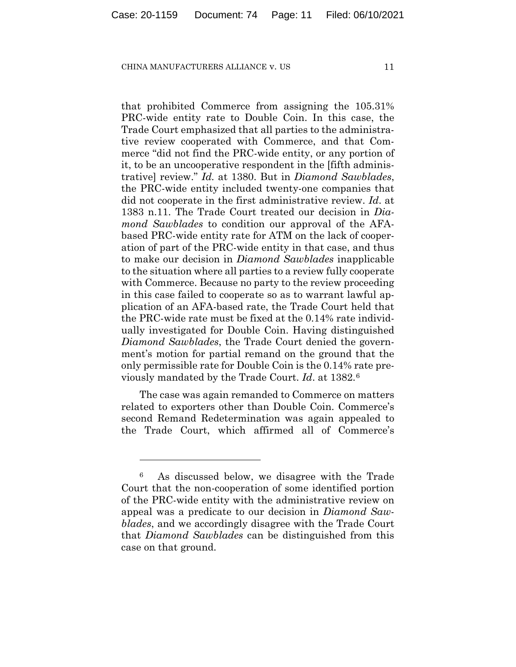that prohibited Commerce from assigning the 105.31% PRC-wide entity rate to Double Coin. In this case, the Trade Court emphasized that all parties to the administrative review cooperated with Commerce, and that Commerce "did not find the PRC-wide entity, or any portion of it, to be an uncooperative respondent in the [fifth administrative] review." *Id.* at 1380. But in *Diamond Sawblades*, the PRC-wide entity included twenty-one companies that did not cooperate in the first administrative review. *Id*. at 1383 n.11. The Trade Court treated our decision in *Diamond Sawblades* to condition our approval of the AFAbased PRC-wide entity rate for ATM on the lack of cooperation of part of the PRC-wide entity in that case, and thus to make our decision in *Diamond Sawblades* inapplicable to the situation where all parties to a review fully cooperate with Commerce. Because no party to the review proceeding in this case failed to cooperate so as to warrant lawful application of an AFA-based rate, the Trade Court held that the PRC-wide rate must be fixed at the 0.14% rate individually investigated for Double Coin. Having distinguished *Diamond Sawblades*, the Trade Court denied the government's motion for partial remand on the ground that the only permissible rate for Double Coin is the 0.14% rate previously mandated by the Trade Court. *Id*. at 1382.[6](#page-10-0)

The case was again remanded to Commerce on matters related to exporters other than Double Coin. Commerce's second Remand Redetermination was again appealed to the Trade Court, which affirmed all of Commerce's

<span id="page-10-0"></span><sup>6</sup> As discussed below, we disagree with the Trade Court that the non-cooperation of some identified portion of the PRC-wide entity with the administrative review on appeal was a predicate to our decision in *Diamond Sawblades*, and we accordingly disagree with the Trade Court that *Diamond Sawblades* can be distinguished from this case on that ground.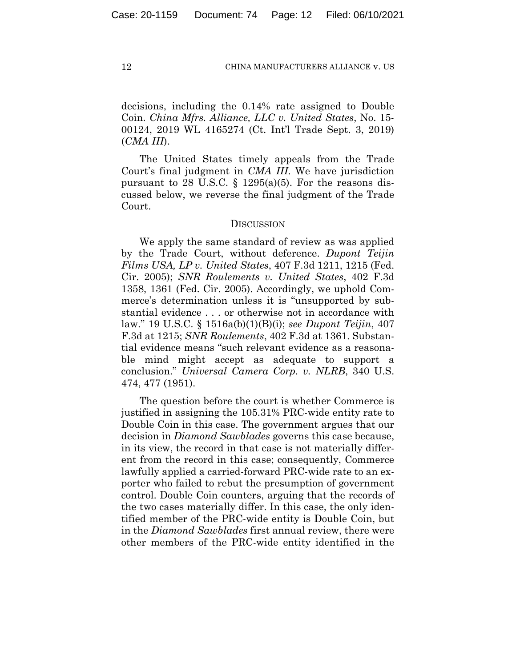decisions, including the 0.14% rate assigned to Double Coin. *China Mfrs. Alliance, LLC v. United States*, No. 15- 00124, 2019 WL 4165274 (Ct. Int'l Trade Sept. 3, 2019) (*CMA III*).

The United States timely appeals from the Trade Court's final judgment in *CMA III*. We have jurisdiction pursuant to 28 U.S.C.  $\S$  1295(a)(5). For the reasons discussed below, we reverse the final judgment of the Trade Court.

## **DISCUSSION**

We apply the same standard of review as was applied by the Trade Court, without deference. *Dupont Teijin Films USA, LP v. United States*, 407 F.3d 1211, 1215 (Fed. Cir. 2005); *SNR Roulements v. United States*, 402 F.3d 1358, 1361 (Fed. Cir. 2005). Accordingly, we uphold Commerce's determination unless it is "unsupported by substantial evidence . . . or otherwise not in accordance with law." 19 U.S.C. § 1516a(b)(1)(B)(i); *see Dupont Teijin*, 407 F.3d at 1215; *SNR Roulements*, 402 F.3d at 1361. Substantial evidence means "such relevant evidence as a reasonable mind might accept as adequate to support a conclusion." *Universal Camera Corp. v. NLRB*, 340 U.S. 474, 477 (1951).

The question before the court is whether Commerce is justified in assigning the 105.31% PRC-wide entity rate to Double Coin in this case. The government argues that our decision in *Diamond Sawblades* governs this case because, in its view, the record in that case is not materially different from the record in this case; consequently, Commerce lawfully applied a carried-forward PRC-wide rate to an exporter who failed to rebut the presumption of government control. Double Coin counters, arguing that the records of the two cases materially differ. In this case, the only identified member of the PRC-wide entity is Double Coin, but in the *Diamond Sawblades* first annual review, there were other members of the PRC-wide entity identified in the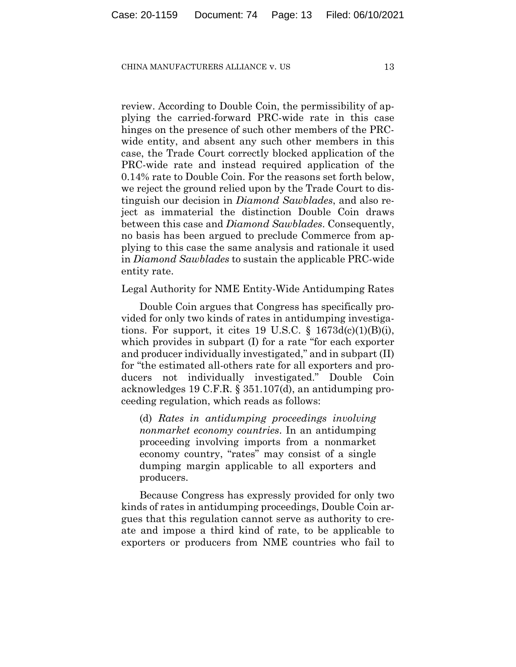review. According to Double Coin, the permissibility of applying the carried-forward PRC-wide rate in this case hinges on the presence of such other members of the PRCwide entity, and absent any such other members in this case, the Trade Court correctly blocked application of the PRC-wide rate and instead required application of the 0.14% rate to Double Coin. For the reasons set forth below, we reject the ground relied upon by the Trade Court to distinguish our decision in *Diamond Sawblades*, and also reject as immaterial the distinction Double Coin draws between this case and *Diamond Sawblades*. Consequently, no basis has been argued to preclude Commerce from applying to this case the same analysis and rationale it used in *Diamond Sawblades* to sustain the applicable PRC-wide entity rate.

Legal Authority for NME Entity-Wide Antidumping Rates

Double Coin argues that Congress has specifically provided for only two kinds of rates in antidumping investigations. For support, it cites 19 U.S.C.  $\S$  1673d(c)(1)(B)(i), which provides in subpart (I) for a rate "for each exporter and producer individually investigated," and in subpart (II) for "the estimated all-others rate for all exporters and producers not individually investigated." Double Coin acknowledges 19 C.F.R. § 351.107(d), an antidumping proceeding regulation, which reads as follows:

(d) *Rates in antidumping proceedings involving nonmarket economy countries*. In an antidumping proceeding involving imports from a nonmarket economy country, "rates" may consist of a single dumping margin applicable to all exporters and producers.

Because Congress has expressly provided for only two kinds of rates in antidumping proceedings, Double Coin argues that this regulation cannot serve as authority to create and impose a third kind of rate, to be applicable to exporters or producers from NME countries who fail to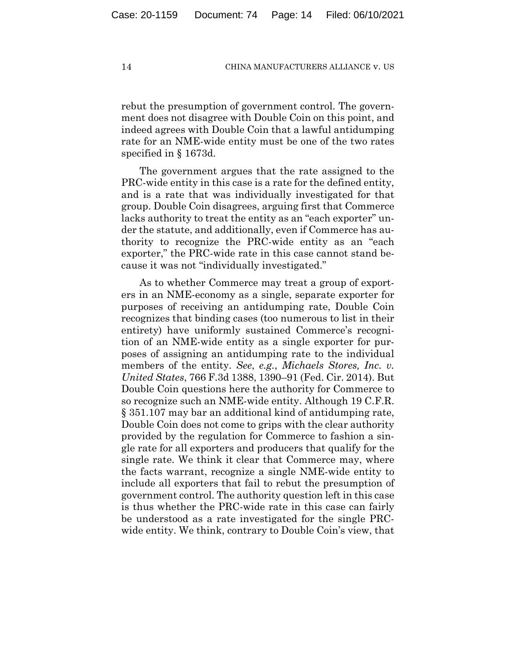rebut the presumption of government control. The government does not disagree with Double Coin on this point, and indeed agrees with Double Coin that a lawful antidumping rate for an NME-wide entity must be one of the two rates specified in § 1673d.

The government argues that the rate assigned to the PRC-wide entity in this case is a rate for the defined entity, and is a rate that was individually investigated for that group. Double Coin disagrees, arguing first that Commerce lacks authority to treat the entity as an "each exporter" under the statute, and additionally, even if Commerce has authority to recognize the PRC-wide entity as an "each exporter," the PRC-wide rate in this case cannot stand because it was not "individually investigated."

As to whether Commerce may treat a group of exporters in an NME-economy as a single, separate exporter for purposes of receiving an antidumping rate, Double Coin recognizes that binding cases (too numerous to list in their entirety) have uniformly sustained Commerce's recognition of an NME-wide entity as a single exporter for purposes of assigning an antidumping rate to the individual members of the entity. *See*, *e.g.*, *Michaels Stores, Inc. v. United States*, 766 F.3d 1388, 1390–91 (Fed. Cir. 2014). But Double Coin questions here the authority for Commerce to so recognize such an NME-wide entity. Although 19 C.F.R. § 351.107 may bar an additional kind of antidumping rate, Double Coin does not come to grips with the clear authority provided by the regulation for Commerce to fashion a single rate for all exporters and producers that qualify for the single rate. We think it clear that Commerce may, where the facts warrant, recognize a single NME-wide entity to include all exporters that fail to rebut the presumption of government control. The authority question left in this case is thus whether the PRC-wide rate in this case can fairly be understood as a rate investigated for the single PRCwide entity. We think, contrary to Double Coin's view, that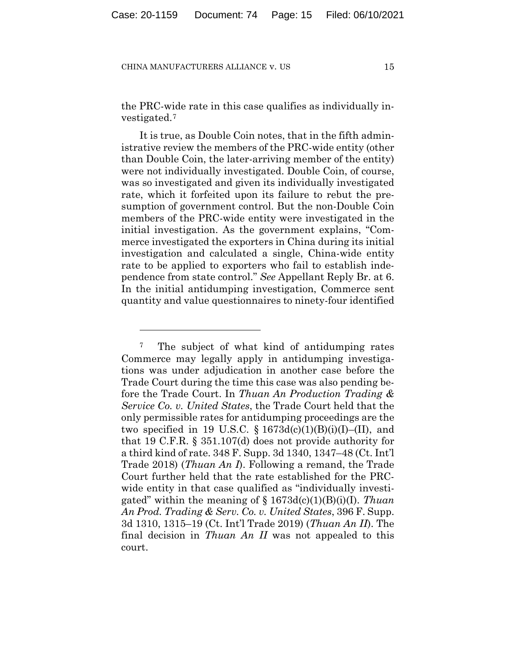the PRC-wide rate in this case qualifies as individually investigated.[7](#page-14-0)

It is true, as Double Coin notes, that in the fifth administrative review the members of the PRC-wide entity (other than Double Coin, the later-arriving member of the entity) were not individually investigated. Double Coin, of course, was so investigated and given its individually investigated rate, which it forfeited upon its failure to rebut the presumption of government control. But the non-Double Coin members of the PRC-wide entity were investigated in the initial investigation. As the government explains, "Commerce investigated the exporters in China during its initial investigation and calculated a single, China-wide entity rate to be applied to exporters who fail to establish independence from state control." *See* Appellant Reply Br. at 6. In the initial antidumping investigation, Commerce sent quantity and value questionnaires to ninety-four identified

<span id="page-14-0"></span><sup>&</sup>lt;sup>7</sup> The subject of what kind of antidumping rates Commerce may legally apply in antidumping investigations was under adjudication in another case before the Trade Court during the time this case was also pending before the Trade Court. In *Thuan An Production Trading & Service Co. v. United States*, the Trade Court held that the only permissible rates for antidumping proceedings are the two specified in 19 U.S.C.  $\S 1673d(c)(1)(B)(i)(I)$ –(II), and that 19 C.F.R. § 351.107(d) does not provide authority for a third kind of rate. 348 F. Supp. 3d 1340, 1347–48 (Ct. Int'l Trade 2018) (*Thuan An I*). Following a remand, the Trade Court further held that the rate established for the PRCwide entity in that case qualified as "individually investigated" within the meaning of § 1673d(c)(1)(B)(i)(I). *Thuan An Prod. Trading & Serv. Co. v. United States*, 396 F. Supp. 3d 1310, 1315–19 (Ct. Int'l Trade 2019) (*Thuan An II*). The final decision in *Thuan An II* was not appealed to this court.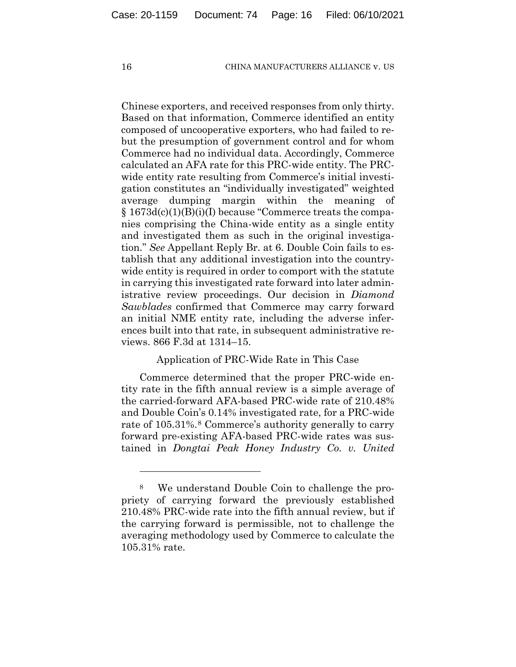Chinese exporters, and received responses from only thirty. Based on that information, Commerce identified an entity composed of uncooperative exporters, who had failed to rebut the presumption of government control and for whom Commerce had no individual data. Accordingly, Commerce calculated an AFA rate for this PRC-wide entity. The PRCwide entity rate resulting from Commerce's initial investigation constitutes an "individually investigated" weighted average dumping margin within the meaning of  $\S 1673d(c)(1)(B)(i)(I)$  because "Commerce treats the companies comprising the China-wide entity as a single entity and investigated them as such in the original investigation." *See* Appellant Reply Br. at 6. Double Coin fails to establish that any additional investigation into the countrywide entity is required in order to comport with the statute in carrying this investigated rate forward into later administrative review proceedings. Our decision in *Diamond Sawblades* confirmed that Commerce may carry forward an initial NME entity rate, including the adverse inferences built into that rate, in subsequent administrative reviews. 866 F.3d at 1314–15.

# Application of PRC-Wide Rate in This Case

Commerce determined that the proper PRC-wide entity rate in the fifth annual review is a simple average of the carried-forward AFA-based PRC-wide rate of 210.48% and Double Coin's 0.14% investigated rate, for a PRC-wide rate of 105.31%.<sup>[8](#page-15-0)</sup> Commerce's authority generally to carry forward pre-existing AFA-based PRC-wide rates was sustained in *Dongtai Peak Honey Industry Co. v. United* 

<span id="page-15-0"></span><sup>8</sup> We understand Double Coin to challenge the propriety of carrying forward the previously established 210.48% PRC-wide rate into the fifth annual review, but if the carrying forward is permissible, not to challenge the averaging methodology used by Commerce to calculate the 105.31% rate.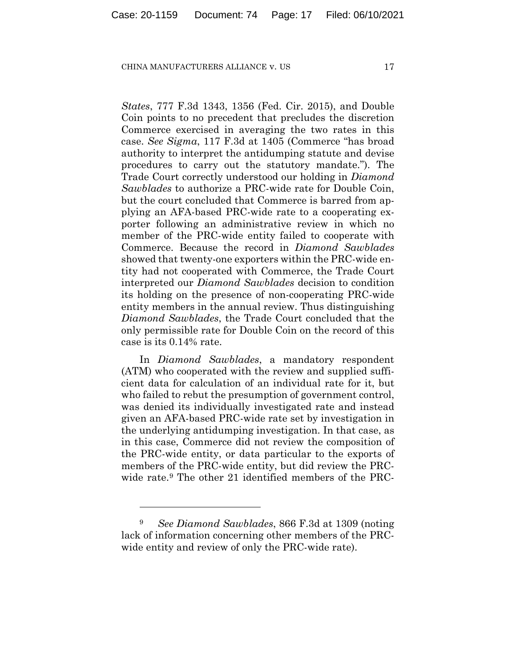*States*, 777 F.3d 1343, 1356 (Fed. Cir. 2015), and Double Coin points to no precedent that precludes the discretion Commerce exercised in averaging the two rates in this case. *See Sigma*, 117 F.3d at 1405 (Commerce "has broad authority to interpret the antidumping statute and devise procedures to carry out the statutory mandate."). The Trade Court correctly understood our holding in *Diamond Sawblades* to authorize a PRC-wide rate for Double Coin, but the court concluded that Commerce is barred from applying an AFA-based PRC-wide rate to a cooperating exporter following an administrative review in which no member of the PRC-wide entity failed to cooperate with Commerce. Because the record in *Diamond Sawblades* showed that twenty-one exporters within the PRC-wide entity had not cooperated with Commerce, the Trade Court interpreted our *Diamond Sawblades* decision to condition its holding on the presence of non-cooperating PRC-wide entity members in the annual review. Thus distinguishing *Diamond Sawblades*, the Trade Court concluded that the only permissible rate for Double Coin on the record of this case is its 0.14% rate.

In *Diamond Sawblades*, a mandatory respondent (ATM) who cooperated with the review and supplied sufficient data for calculation of an individual rate for it, but who failed to rebut the presumption of government control, was denied its individually investigated rate and instead given an AFA-based PRC-wide rate set by investigation in the underlying antidumping investigation. In that case, as in this case, Commerce did not review the composition of the PRC-wide entity, or data particular to the exports of members of the PRC-wide entity, but did review the PRC-wide rate.<sup>[9](#page-16-0)</sup> The other 21 identified members of the PRC-

<span id="page-16-0"></span><sup>9</sup> *See Diamond Sawblades*, 866 F.3d at 1309 (noting lack of information concerning other members of the PRCwide entity and review of only the PRC-wide rate).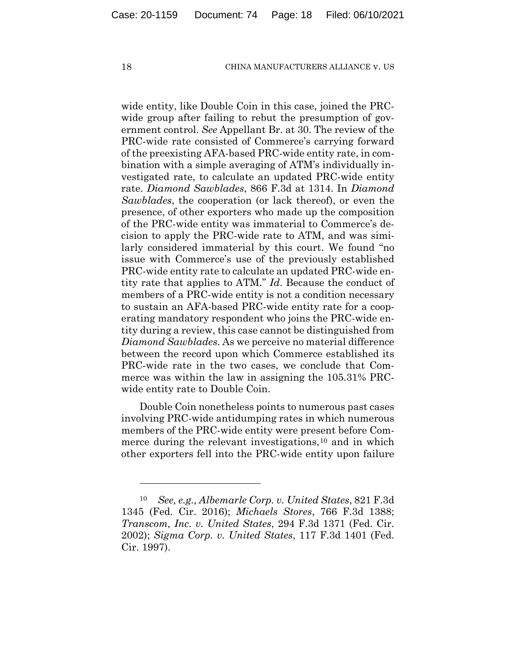wide entity, like Double Coin in this case, joined the PRCwide group after failing to rebut the presumption of government control. *See* Appellant Br. at 30. The review of the PRC-wide rate consisted of Commerce's carrying forward of the preexisting AFA-based PRC-wide entity rate, in combination with a simple averaging of ATM's individually investigated rate, to calculate an updated PRC-wide entity rate. *Diamond Sawblades*, 866 F.3d at 1314. In *Diamond Sawblades*, the cooperation (or lack thereof), or even the presence, of other exporters who made up the composition of the PRC-wide entity was immaterial to Commerce's decision to apply the PRC-wide rate to ATM, and was similarly considered immaterial by this court. We found "no issue with Commerce's use of the previously established PRC-wide entity rate to calculate an updated PRC-wide entity rate that applies to ATM." *Id*. Because the conduct of members of a PRC-wide entity is not a condition necessary to sustain an AFA-based PRC-wide entity rate for a cooperating mandatory respondent who joins the PRC-wide entity during a review, this case cannot be distinguished from *Diamond Sawblades*. As we perceive no material difference between the record upon which Commerce established its PRC-wide rate in the two cases, we conclude that Commerce was within the law in assigning the 105.31% PRCwide entity rate to Double Coin.

Double Coin nonetheless points to numerous past cases involving PRC-wide antidumping rates in which numerous members of the PRC-wide entity were present before Com-merce during the relevant investigations,<sup>[10](#page-17-0)</sup> and in which other exporters fell into the PRC-wide entity upon failure

<span id="page-17-0"></span><sup>10</sup> *See, e.g., Albemarle Corp. v. United States*, 821 F.3d 1345 (Fed. Cir. 2016); *Michaels Stores*, 766 F.3d 1388; *Transcom, Inc. v. United States*, 294 F.3d 1371 (Fed. Cir. 2002); *Sigma Corp. v. United States*, 117 F.3d 1401 (Fed. Cir. 1997).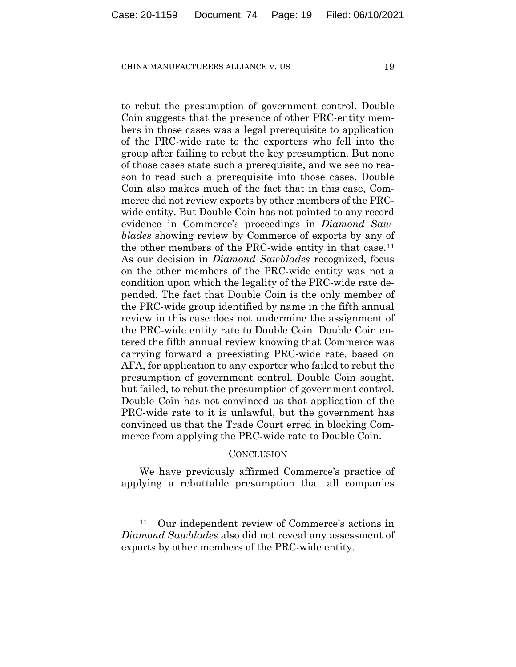to rebut the presumption of government control. Double Coin suggests that the presence of other PRC-entity members in those cases was a legal prerequisite to application of the PRC-wide rate to the exporters who fell into the group after failing to rebut the key presumption. But none of those cases state such a prerequisite, and we see no reason to read such a prerequisite into those cases. Double Coin also makes much of the fact that in this case, Commerce did not review exports by other members of the PRCwide entity. But Double Coin has not pointed to any record evidence in Commerce's proceedings in *Diamond Sawblades* showing review by Commerce of exports by any of the other members of the PRC-wide entity in that case.<sup>[11](#page-18-0)</sup> As our decision in *Diamond Sawblades* recognized, focus on the other members of the PRC-wide entity was not a condition upon which the legality of the PRC-wide rate depended. The fact that Double Coin is the only member of the PRC-wide group identified by name in the fifth annual review in this case does not undermine the assignment of the PRC-wide entity rate to Double Coin. Double Coin entered the fifth annual review knowing that Commerce was carrying forward a preexisting PRC-wide rate, based on AFA, for application to any exporter who failed to rebut the presumption of government control. Double Coin sought, but failed, to rebut the presumption of government control. Double Coin has not convinced us that application of the PRC-wide rate to it is unlawful, but the government has convinced us that the Trade Court erred in blocking Commerce from applying the PRC-wide rate to Double Coin.

# **CONCLUSION**

We have previously affirmed Commerce's practice of applying a rebuttable presumption that all companies

<span id="page-18-0"></span>Our independent review of Commerce's actions in *Diamond Sawblades* also did not reveal any assessment of exports by other members of the PRC-wide entity.